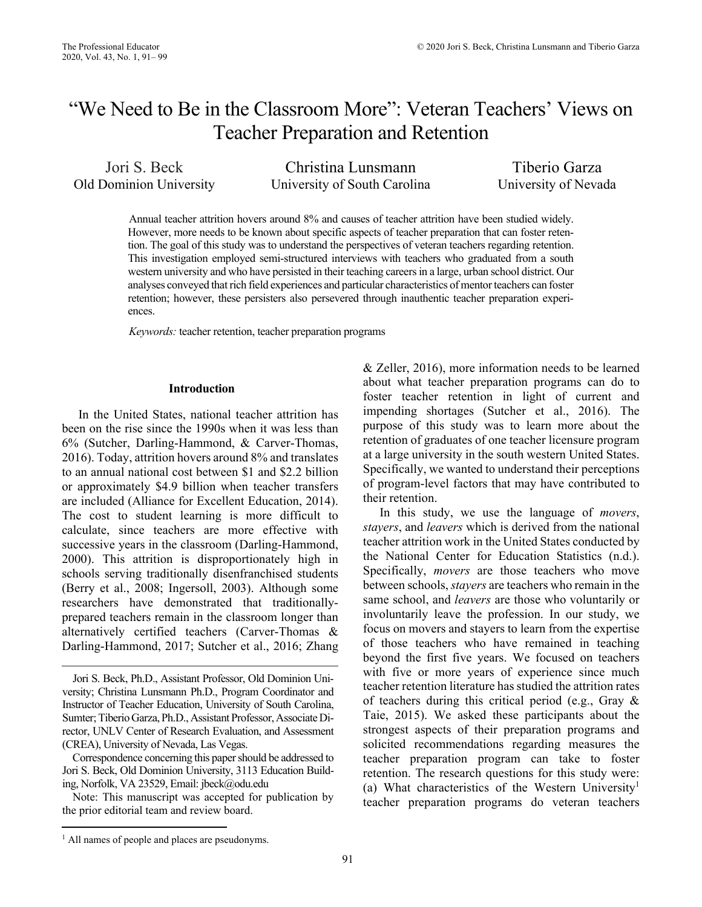# "We Need to Be in the Classroom More": Veteran Teachers' Views on Teacher Preparation and Retention

Jori S. Beck Christina Lunsmann Tiberio Garza Old Dominion University University of South Carolina University of Nevada

 western university and who have persisted in their teaching careers in a large, urban school district. Our analyses conveyed that rich field experiences and particular characteristics of mentor teachers can foster Annual teacher attrition hovers around 8% and causes of teacher attrition have been studied widely. However, more needs to be known about specific aspects of teacher preparation that can foster retention. The goal of this study was to understand the perspectives of veteran teachers regarding retention. This investigation employed semi-structured interviews with teachers who graduated from a south retention; however, these persisters also persevered through inauthentic teacher preparation experiences.

*Keywords:* teacher retention, teacher preparation programs

# **Introduction**

In the United States, national teacher attrition has been on the rise since the 1990s when it was less than 6% (Sutcher, Darling-Hammond, & Carver-Thomas, 2016). Today, attrition hovers around 8% and translates to an annual national cost between \$1 and \$2.2 billion or approximately \$4.9 billion when teacher transfers are included (Alliance for Excellent Education, 2014). The cost to student learning is more difficult to calculate, since teachers are more effective with successive years in the classroom (Darling-Hammond, 2000). This attrition is disproportionately high in schools serving traditionally disenfranchised students (Berry et al., 2008; Ingersoll, 2003). Although some researchers have demonstrated that traditionallyprepared teachers remain in the classroom longer than alternatively certified teachers (Carver-Thomas & Darling-Hammond, 2017; Sutcher et al., 2016; Zhang

Note: This manuscript was accepted for publication by the prior editorial team and review board.

their retention. & Zeller, 2016), more information needs to be learned about what teacher preparation programs can do to foster teacher retention in light of current and impending shortages (Sutcher et al., 2016). The purpose of this study was to learn more about the retention of graduates of one teacher licensure program at a large university in the south western United States. Specifically, we wanted to understand their perceptions of program-level factors that may have contributed to

In this study, we use the language of *movers*, *stayers*, and *leavers* which is derived from the national teacher attrition work in the United States conducted by the National Center for Education Statistics (n.d.). Specifically, *movers* are those teachers who move between schools, *stayers* are teachers who remain in the same school, and *leavers* are those who voluntarily or involuntarily leave the profession. In our study, we focus on movers and stayers to learn from the expertise of those teachers who have remained in teaching beyond the first five years. We focused on teachers with five or more years of experience since much teacher retention literature has studied the attrition rates of teachers during this critical period (e.g., Gray & Taie, 2015). We asked these participants about the strongest aspects of their preparation programs and solicited recommendations regarding measures the teacher preparation program can take to foster retention. The research questions for this study were: (a) What characteristics of the Western University<sup>1</sup> teacher preparation programs do veteran teachers

Jori S. Beck, Ph.D., Assistant Professor, Old Dominion University; Christina Lunsmann Ph.D., Program Coordinator and Instructor of Teacher Education, University of South Carolina, Sumter; Tiberio Garza, Ph.D., Assistant Professor, Associate Director, UNLV Center of Research Evaluation, and Assessment (CREA), University of Nevada, Las Vegas.

 Correspondence concerning this paper should be addressed to Jori S. Beck, Old Dominion University, 3113 Education Building, Norfolk, VA 23529, Email: jbeck@odu.edu

<sup>&</sup>lt;sup>1</sup> All names of people and places are pseudonyms.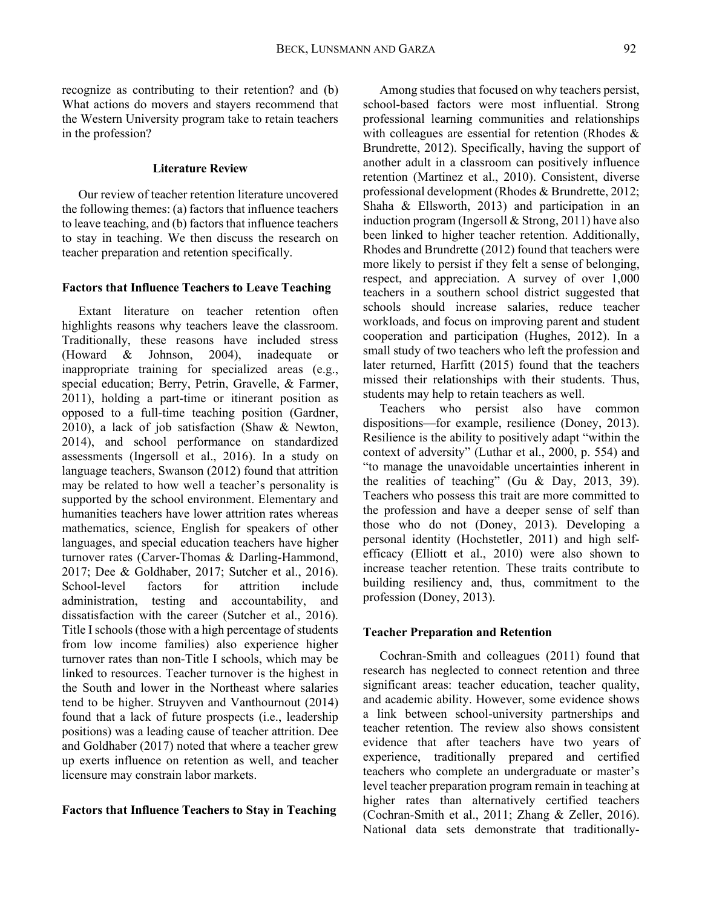recognize as contributing to their retention? and (b) What actions do movers and stayers recommend that the Western University program take to retain teachers in the profession?

# **Literature Review**

Our review of teacher retention literature uncovered the following themes: (a) factors that influence teachers to leave teaching, and (b) factors that influence teachers to stay in teaching. We then discuss the research on teacher preparation and retention specifically.

#### **Factors that Influence Teachers to Leave Teaching**

Extant literature on teacher retention often highlights reasons why teachers leave the classroom. Traditionally, these reasons have included stress (Howard & Johnson, 2004), inadequate or inappropriate training for specialized areas (e.g., special education; Berry, Petrin, Gravelle, & Farmer, 2011), holding a part-time or itinerant position as opposed to a full-time teaching position (Gardner, 2010), a lack of job satisfaction (Shaw & Newton, 2014), and school performance on standardized assessments (Ingersoll et al., 2016). In a study on language teachers, Swanson (2012) found that attrition may be related to how well a teacher's personality is supported by the school environment. Elementary and humanities teachers have lower attrition rates whereas mathematics, science, English for speakers of other languages, and special education teachers have higher turnover rates (Carver-Thomas & Darling-Hammond, 2017; Dee & Goldhaber, 2017; Sutcher et al., 2016). School-level factors for attrition include administration, testing and accountability, and dissatisfaction with the career (Sutcher et al., 2016). Title I schools (those with a high percentage of students from low income families) also experience higher turnover rates than non-Title I schools, which may be linked to resources. Teacher turnover is the highest in the South and lower in the Northeast where salaries tend to be higher. Struyven and Vanthournout (2014) found that a lack of future prospects (i.e., leadership positions) was a leading cause of teacher attrition. Dee and Goldhaber (2017) noted that where a teacher grew up exerts influence on retention as well, and teacher licensure may constrain labor markets.

## **Factors that Influence Teachers to Stay in Teaching**

Among studies that focused on why teachers persist, school-based factors were most influential. Strong professional learning communities and relationships with colleagues are essential for retention (Rhodes & Brundrette, 2012). Specifically, having the support of another adult in a classroom can positively influence retention (Martinez et al., 2010). Consistent, diverse professional development (Rhodes & Brundrette, 2012; Shaha & Ellsworth, 2013) and participation in an induction program (Ingersoll & Strong, 2011) have also been linked to higher teacher retention. Additionally, Rhodes and Brundrette (2012) found that teachers were more likely to persist if they felt a sense of belonging, respect, and appreciation. A survey of over 1,000 teachers in a southern school district suggested that schools should increase salaries, reduce teacher workloads, and focus on improving parent and student cooperation and participation (Hughes, 2012). In a small study of two teachers who left the profession and later returned, Harfitt (2015) found that the teachers missed their relationships with their students. Thus, students may help to retain teachers as well.

Teachers who persist also have common dispositions—for example, resilience (Doney, 2013). Resilience is the ability to positively adapt "within the context of adversity" (Luthar et al., 2000, p. 554) and "to manage the unavoidable uncertainties inherent in the realities of teaching" (Gu & Day, 2013, 39). Teachers who possess this trait are more committed to the profession and have a deeper sense of self than those who do not (Doney, 2013). Developing a personal identity (Hochstetler, 2011) and high selfefficacy (Elliott et al., 2010) were also shown to increase teacher retention. These traits contribute to building resiliency and, thus, commitment to the profession (Doney, 2013).

#### **Teacher Preparation and Retention**

Cochran-Smith and colleagues (2011) found that research has neglected to connect retention and three significant areas: teacher education, teacher quality, and academic ability. However, some evidence shows a link between school-university partnerships and teacher retention. The review also shows consistent evidence that after teachers have two years of experience, traditionally prepared and certified teachers who complete an undergraduate or master's level teacher preparation program remain in teaching at higher rates than alternatively certified teachers (Cochran-Smith et al., 2011; Zhang & Zeller, 2016). National data sets demonstrate that traditionally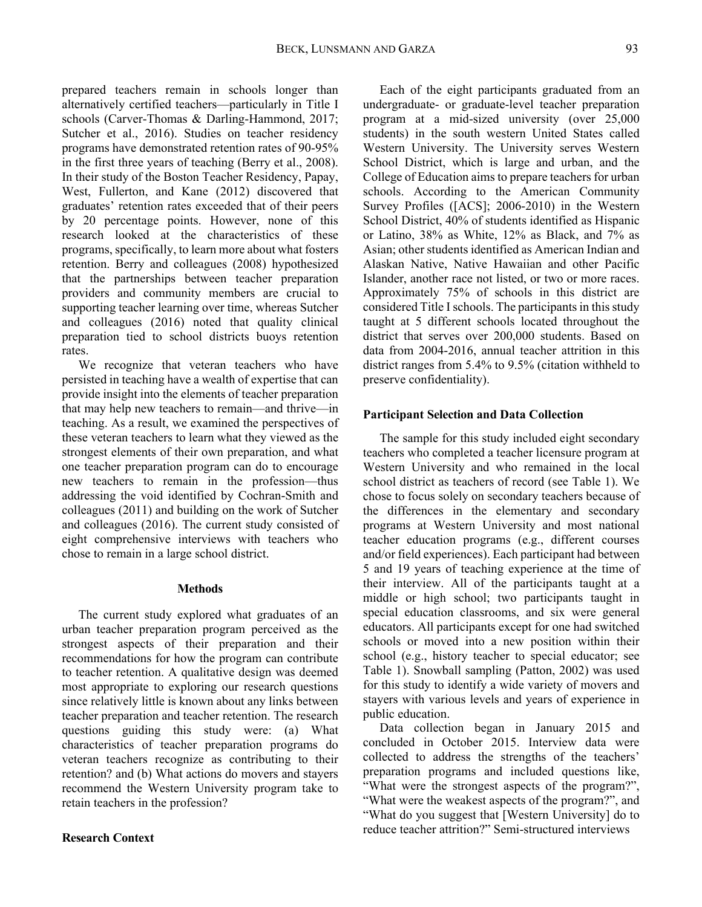prepared teachers remain in schools longer than alternatively certified teachers—particularly in Title I schools (Carver-Thomas & Darling-Hammond, 2017; Sutcher et al., 2016). Studies on teacher residency programs have demonstrated retention rates of 90-95% in the first three years of teaching (Berry et al., 2008). In their study of the Boston Teacher Residency, Papay, West, Fullerton, and Kane (2012) discovered that graduates' retention rates exceeded that of their peers by 20 percentage points. However, none of this research looked at the characteristics of these programs, specifically, to learn more about what fosters retention. Berry and colleagues (2008) hypothesized that the partnerships between teacher preparation providers and community members are crucial to supporting teacher learning over time, whereas Sutcher and colleagues (2016) noted that quality clinical preparation tied to school districts buoys retention rates.

 chose to remain in a large school district. We recognize that veteran teachers who have persisted in teaching have a wealth of expertise that can provide insight into the elements of teacher preparation that may help new teachers to remain—and thrive—in teaching. As a result, we examined the perspectives of these veteran teachers to learn what they viewed as the strongest elements of their own preparation, and what one teacher preparation program can do to encourage new teachers to remain in the profession—thus addressing the void identified by Cochran-Smith and colleagues (2011) and building on the work of Sutcher and colleagues (2016). The current study consisted of eight comprehensive interviews with teachers who

#### **Methods**

The current study explored what graduates of an urban teacher preparation program perceived as the strongest aspects of their preparation and their recommendations for how the program can contribute to teacher retention. A qualitative design was deemed most appropriate to exploring our research questions since relatively little is known about any links between teacher preparation and teacher retention. The research questions guiding this study were: (a) What characteristics of teacher preparation programs do veteran teachers recognize as contributing to their retention? and (b) What actions do movers and stayers recommend the Western University program take to retain teachers in the profession?

# **Research Context**

Each of the eight participants graduated from an undergraduate- or graduate-level teacher preparation program at a mid-sized university (over 25,000 students) in the south western United States called Western University. The University serves Western School District, which is large and urban, and the College of Education aims to prepare teachers for urban schools. According to the American Community Survey Profiles ([ACS]; 2006-2010) in the Western School District, 40% of students identified as Hispanic or Latino, 38% as White, 12% as Black, and 7% as Asian; other students identified as American Indian and Alaskan Native, Native Hawaiian and other Pacific Islander, another race not listed, or two or more races. Approximately 75% of schools in this district are considered Title I schools. The participants in this study taught at 5 different schools located throughout the district that serves over 200,000 students. Based on data from 2004-2016, annual teacher attrition in this district ranges from 5.4% to 9.5% (citation withheld to preserve confidentiality).

# **Participant Selection and Data Collection**

The sample for this study included eight secondary teachers who completed a teacher licensure program at Western University and who remained in the local school district as teachers of record (see Table 1). We chose to focus solely on secondary teachers because of the differences in the elementary and secondary programs at Western University and most national teacher education programs (e.g., different courses and/or field experiences). Each participant had between 5 and 19 years of teaching experience at the time of their interview. All of the participants taught at a middle or high school; two participants taught in special education classrooms, and six were general educators. All participants except for one had switched schools or moved into a new position within their school (e.g., history teacher to special educator; see Table 1). Snowball sampling (Patton, 2002) was used for this study to identify a wide variety of movers and stayers with various levels and years of experience in public education.

Data collection began in January 2015 and concluded in October 2015. Interview data were collected to address the strengths of the teachers' preparation programs and included questions like, "What were the strongest aspects of the program?", "What were the weakest aspects of the program?", and "What do you suggest that [Western University] do to reduce teacher attrition?" Semi-structured interviews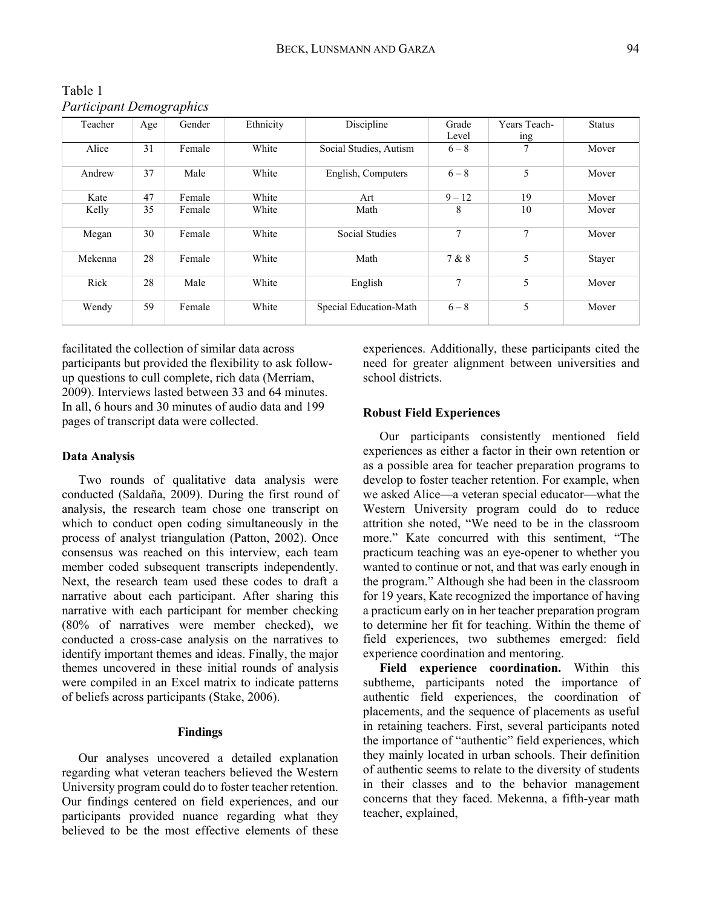Table 1 *Participant Demographics* 

| Teacher | Age | Gender | Ethnicity | Discipline             | Grade         | Years Teach- | <b>Status</b> |
|---------|-----|--------|-----------|------------------------|---------------|--------------|---------------|
|         |     |        |           |                        | Level         | ing          |               |
| Alice   | 31  | Female | White     | Social Studies, Autism | $6 - 8$       | 7            | Mover         |
| Andrew  | 37  | Male   | White     | English, Computers     | $6 - 8$       | 5            | Mover         |
| Kate    | 47  | Female | White     | Art                    | $9 - 12$      | 19           | Mover         |
| Kelly   | 35  | Female | White     | Math                   | 8             | 10           | Mover         |
| Megan   | 30  | Female | White     | Social Studies         | $\mathcal{I}$ | 7            | Mover         |
| Mekenna | 28  | Female | White     | Math                   | 7 & 8         | 5            | Stayer        |
| Rick    | 28  | Male   | White     | English                | 7             | 5            | Mover         |
| Wendy   | 59  | Female | White     | Special Education-Math | $6 - 8$       | 5            | Mover         |

facilitated the collection of similar data across participants but provided the flexibility to ask followup questions to cull complete, rich data (Merriam, 2009). Interviews lasted between 33 and 64 minutes. In all, 6 hours and 30 minutes of audio data and 199 pages of transcript data were collected.

# **Data Analysis**

Two rounds of qualitative data analysis were conducted (Saldaña, 2009). During the first round of analysis, the research team chose one transcript on which to conduct open coding simultaneously in the process of analyst triangulation (Patton, 2002). Once consensus was reached on this interview, each team member coded subsequent transcripts independently. Next, the research team used these codes to draft a narrative about each participant. After sharing this narrative with each participant for member checking (80% of narratives were member checked), we conducted a cross-case analysis on the narratives to identify important themes and ideas. Finally, the major themes uncovered in these initial rounds of analysis were compiled in an Excel matrix to indicate patterns of beliefs across participants (Stake, 2006).

# **Findings**

Our analyses uncovered a detailed explanation regarding what veteran teachers believed the Western University program could do to foster teacher retention. Our findings centered on field experiences, and our participants provided nuance regarding what they believed to be the most effective elements of these experiences. Additionally, these participants cited the need for greater alignment between universities and school districts.

## **Robust Field Experiences**

Our participants consistently mentioned field experiences as either a factor in their own retention or as a possible area for teacher preparation programs to develop to foster teacher retention. For example, when we asked Alice—a veteran special educator—what the Western University program could do to reduce attrition she noted, "We need to be in the classroom more." Kate concurred with this sentiment, "The practicum teaching was an eye-opener to whether you wanted to continue or not, and that was early enough in the program." Although she had been in the classroom for 19 years, Kate recognized the importance of having a practicum early on in her teacher preparation program to determine her fit for teaching. Within the theme of field experiences, two subthemes emerged: field experience coordination and mentoring.

**Field experience coordination.** Within this subtheme, participants noted the importance of authentic field experiences, the coordination of placements, and the sequence of placements as useful in retaining teachers. First, several participants noted the importance of "authentic" field experiences, which they mainly located in urban schools. Their definition of authentic seems to relate to the diversity of students in their classes and to the behavior management concerns that they faced. Mekenna, a fifth-year math teacher, explained,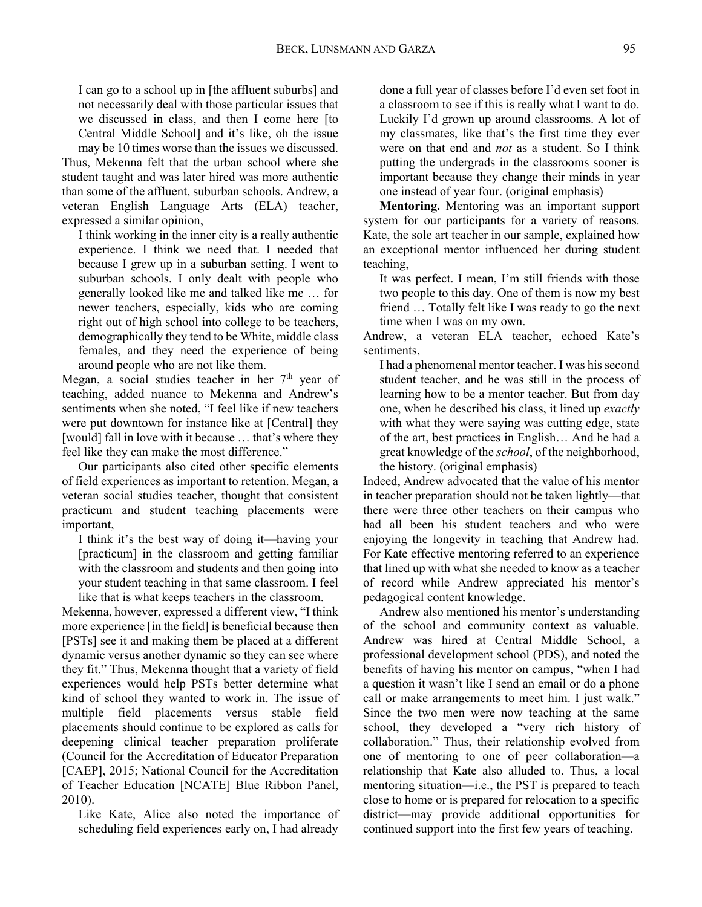I can go to a school up in [the affluent suburbs] and not necessarily deal with those particular issues that we discussed in class, and then I come here [to Central Middle School] and it's like, oh the issue may be 10 times worse than the issues we discussed.

Thus, Mekenna felt that the urban school where she student taught and was later hired was more authentic than some of the affluent, suburban schools. Andrew, a veteran English Language Arts (ELA) teacher, expressed a similar opinion,

I think working in the inner city is a really authentic experience. I think we need that. I needed that because I grew up in a suburban setting. I went to suburban schools. I only dealt with people who generally looked like me and talked like me … for newer teachers, especially, kids who are coming right out of high school into college to be teachers, demographically they tend to be White, middle class females, and they need the experience of being around people who are not like them.

Megan, a social studies teacher in her  $7<sup>th</sup>$  year of teaching, added nuance to Mekenna and Andrew's sentiments when she noted, "I feel like if new teachers were put downtown for instance like at [Central] they [would] fall in love with it because … that's where they feel like they can make the most difference."

Our participants also cited other specific elements of field experiences as important to retention. Megan, a veteran social studies teacher, thought that consistent practicum and student teaching placements were important,

I think it's the best way of doing it—having your [practicum] in the classroom and getting familiar with the classroom and students and then going into your student teaching in that same classroom. I feel like that is what keeps teachers in the classroom.

 $2010$ ). Mekenna, however, expressed a different view, "I think more experience [in the field] is beneficial because then [PSTs] see it and making them be placed at a different dynamic versus another dynamic so they can see where they fit." Thus, Mekenna thought that a variety of field experiences would help PSTs better determine what kind of school they wanted to work in. The issue of multiple field placements versus stable field placements should continue to be explored as calls for deepening clinical teacher preparation proliferate (Council for the Accreditation of Educator Preparation [CAEP], 2015; National Council for the Accreditation of Teacher Education [NCATE] Blue Ribbon Panel,

Like Kate, Alice also noted the importance of scheduling field experiences early on, I had already

done a full year of classes before I'd even set foot in a classroom to see if this is really what I want to do. Luckily I'd grown up around classrooms. A lot of my classmates, like that's the first time they ever were on that end and *not* as a student. So I think putting the undergrads in the classrooms sooner is important because they change their minds in year one instead of year four. (original emphasis)

**Mentoring.** Mentoring was an important support system for our participants for a variety of reasons. Kate, the sole art teacher in our sample, explained how an exceptional mentor influenced her during student teaching,

It was perfect. I mean, I'm still friends with those two people to this day. One of them is now my best friend … Totally felt like I was ready to go the next time when I was on my own.

Andrew, a veteran ELA teacher, echoed Kate's sentiments,

I had a phenomenal mentor teacher. I was his second student teacher, and he was still in the process of learning how to be a mentor teacher. But from day one, when he described his class, it lined up *exactly*  with what they were saying was cutting edge, state of the art, best practices in English… And he had a great knowledge of the *school*, of the neighborhood, the history. (original emphasis)

Indeed, Andrew advocated that the value of his mentor in teacher preparation should not be taken lightly—that there were three other teachers on their campus who had all been his student teachers and who were enjoying the longevity in teaching that Andrew had. For Kate effective mentoring referred to an experience that lined up with what she needed to know as a teacher of record while Andrew appreciated his mentor's pedagogical content knowledge.

Andrew also mentioned his mentor's understanding of the school and community context as valuable. Andrew was hired at Central Middle School, a professional development school (PDS), and noted the benefits of having his mentor on campus, "when I had a question it wasn't like I send an email or do a phone call or make arrangements to meet him. I just walk." Since the two men were now teaching at the same school, they developed a "very rich history of collaboration." Thus, their relationship evolved from one of mentoring to one of peer collaboration—a relationship that Kate also alluded to. Thus, a local mentoring situation—i.e., the PST is prepared to teach close to home or is prepared for relocation to a specific district—may provide additional opportunities for continued support into the first few years of teaching.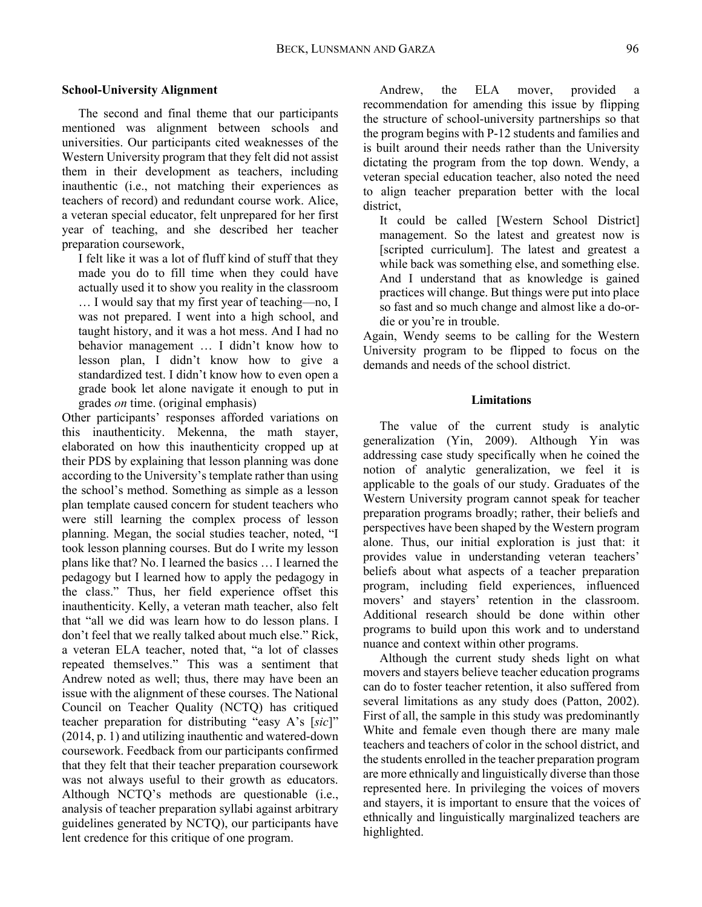## **School-University Alignment**

The second and final theme that our participants mentioned was alignment between schools and universities. Our participants cited weaknesses of the Western University program that they felt did not assist them in their development as teachers, including inauthentic (i.e., not matching their experiences as teachers of record) and redundant course work. Alice, a veteran special educator, felt unprepared for her first year of teaching, and she described her teacher preparation coursework,

I felt like it was a lot of fluff kind of stuff that they made you do to fill time when they could have actually used it to show you reality in the classroom … I would say that my first year of teaching—no, I was not prepared. I went into a high school, and taught history, and it was a hot mess. And I had no behavior management … I didn't know how to lesson plan, I didn't know how to give a standardized test. I didn't know how to even open a grade book let alone navigate it enough to put in grades *on* time. (original emphasis)

Other participants' responses afforded variations on this inauthenticity. Mekenna, the math stayer, elaborated on how this inauthenticity cropped up at their PDS by explaining that lesson planning was done according to the University's template rather than using the school's method. Something as simple as a lesson plan template caused concern for student teachers who were still learning the complex process of lesson planning. Megan, the social studies teacher, noted, "I took lesson planning courses. But do I write my lesson plans like that? No. I learned the basics … I learned the pedagogy but I learned how to apply the pedagogy in the class." Thus, her field experience offset this inauthenticity. Kelly, a veteran math teacher, also felt that "all we did was learn how to do lesson plans. I don't feel that we really talked about much else." Rick, a veteran ELA teacher, noted that, "a lot of classes repeated themselves." This was a sentiment that Andrew noted as well; thus, there may have been an issue with the alignment of these courses. The National Council on Teacher Quality (NCTQ) has critiqued teacher preparation for distributing "easy A's [*sic*]" (2014, p. 1) and utilizing inauthentic and watered-down coursework. Feedback from our participants confirmed that they felt that their teacher preparation coursework was not always useful to their growth as educators. Although NCTQ's methods are questionable (i.e., analysis of teacher preparation syllabi against arbitrary guidelines generated by NCTQ), our participants have lent credence for this critique of one program.

Andrew, the ELA mover, provided recommendation for amending this issue by flipping the structure of school-university partnerships so that the program begins with P-12 students and families and is built around their needs rather than the University dictating the program from the top down. Wendy, a veteran special education teacher, also noted the need to align teacher preparation better with the local district,

It could be called [Western School District] management. So the latest and greatest now is [scripted curriculum]. The latest and greatest a while back was something else, and something else. And I understand that as knowledge is gained practices will change. But things were put into place so fast and so much change and almost like a do-ordie or you're in trouble.

 demands and needs of the school district. Again, Wendy seems to be calling for the Western University program to be flipped to focus on the

## **Limitations**

The value of the current study is analytic generalization (Yin, 2009). Although Yin was addressing case study specifically when he coined the notion of analytic generalization, we feel it is applicable to the goals of our study. Graduates of the Western University program cannot speak for teacher preparation programs broadly; rather, their beliefs and perspectives have been shaped by the Western program alone. Thus, our initial exploration is just that: it provides value in understanding veteran teachers' beliefs about what aspects of a teacher preparation program, including field experiences, influenced movers' and stayers' retention in the classroom. Additional research should be done within other programs to build upon this work and to understand nuance and context within other programs.

Although the current study sheds light on what movers and stayers believe teacher education programs can do to foster teacher retention, it also suffered from several limitations as any study does (Patton, 2002). First of all, the sample in this study was predominantly White and female even though there are many male teachers and teachers of color in the school district, and the students enrolled in the teacher preparation program are more ethnically and linguistically diverse than those represented here. In privileging the voices of movers and stayers, it is important to ensure that the voices of ethnically and linguistically marginalized teachers are highlighted.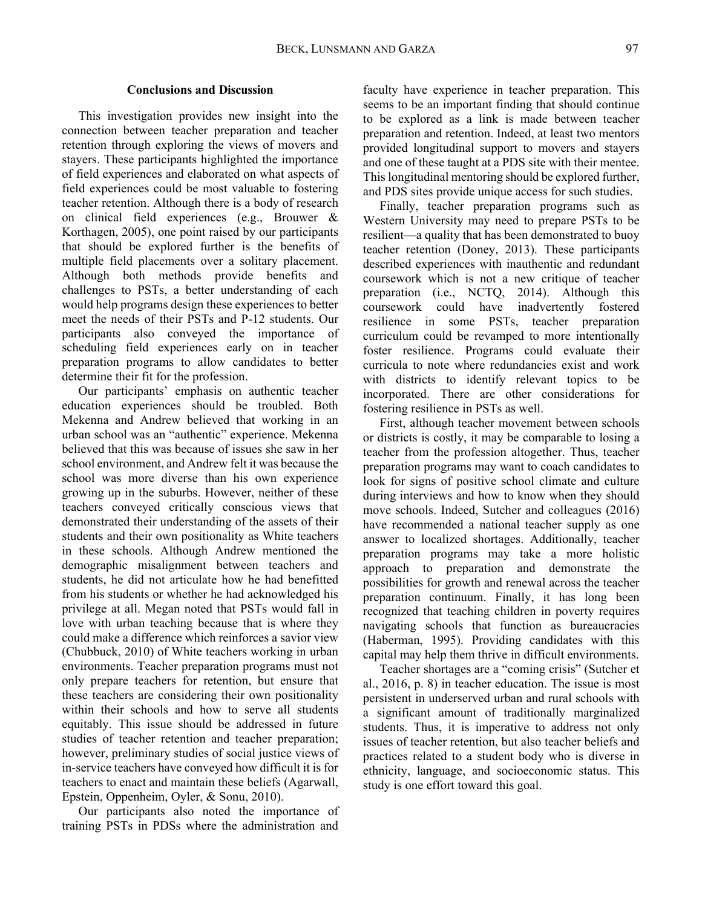## **Conclusions and Discussion**

This investigation provides new insight into the connection between teacher preparation and teacher retention through exploring the views of movers and stayers. These participants highlighted the importance of field experiences and elaborated on what aspects of field experiences could be most valuable to fostering teacher retention. Although there is a body of research on clinical field experiences (e.g., Brouwer & Korthagen, 2005), one point raised by our participants that should be explored further is the benefits of multiple field placements over a solitary placement. Although both methods provide benefits and challenges to PSTs, a better understanding of each would help programs design these experiences to better meet the needs of their PSTs and P-12 students. Our participants also conveyed the importance of scheduling field experiences early on in teacher preparation programs to allow candidates to better determine their fit for the profession.

Our participants' emphasis on authentic teacher education experiences should be troubled. Both Mekenna and Andrew believed that working in an urban school was an "authentic" experience. Mekenna believed that this was because of issues she saw in her school environment, and Andrew felt it was because the school was more diverse than his own experience growing up in the suburbs. However, neither of these teachers conveyed critically conscious views that demonstrated their understanding of the assets of their students and their own positionality as White teachers in these schools. Although Andrew mentioned the demographic misalignment between teachers and students, he did not articulate how he had benefitted from his students or whether he had acknowledged his privilege at all. Megan noted that PSTs would fall in love with urban teaching because that is where they could make a difference which reinforces a savior view (Chubbuck, 2010) of White teachers working in urban environments. Teacher preparation programs must not only prepare teachers for retention, but ensure that these teachers are considering their own positionality within their schools and how to serve all students equitably. This issue should be addressed in future studies of teacher retention and teacher preparation; however, preliminary studies of social justice views of in-service teachers have conveyed how difficult it is for teachers to enact and maintain these beliefs (Agarwall, Epstein, Oppenheim, Oyler, & Sonu, 2010).

Our participants also noted the importance of training PSTs in PDSs where the administration and

faculty have experience in teacher preparation. This seems to be an important finding that should continue to be explored as a link is made between teacher preparation and retention. Indeed, at least two mentors provided longitudinal support to movers and stayers and one of these taught at a PDS site with their mentee. This longitudinal mentoring should be explored further, and PDS sites provide unique access for such studies.

Finally, teacher preparation programs such as Western University may need to prepare PSTs to be resilient—a quality that has been demonstrated to buoy teacher retention (Doney, 2013). These participants described experiences with inauthentic and redundant coursework which is not a new critique of teacher preparation (i.e., NCTQ, 2014). Although this coursework could have inadvertently fostered resilience in some PSTs, teacher preparation curriculum could be revamped to more intentionally foster resilience. Programs could evaluate their curricula to note where redundancies exist and work with districts to identify relevant topics to be incorporated. There are other considerations for fostering resilience in PSTs as well.

First, although teacher movement between schools or districts is costly, it may be comparable to losing a teacher from the profession altogether. Thus, teacher preparation programs may want to coach candidates to look for signs of positive school climate and culture during interviews and how to know when they should move schools. Indeed, Sutcher and colleagues (2016) have recommended a national teacher supply as one answer to localized shortages. Additionally, teacher preparation programs may take a more holistic approach to preparation and demonstrate the possibilities for growth and renewal across the teacher preparation continuum. Finally, it has long been recognized that teaching children in poverty requires navigating schools that function as bureaucracies (Haberman, 1995). Providing candidates with this capital may help them thrive in difficult environments.

Teacher shortages are a "coming crisis" (Sutcher et al., 2016, p. 8) in teacher education. The issue is most persistent in underserved urban and rural schools with a significant amount of traditionally marginalized students. Thus, it is imperative to address not only issues of teacher retention, but also teacher beliefs and practices related to a student body who is diverse in ethnicity, language, and socioeconomic status. This study is one effort toward this goal.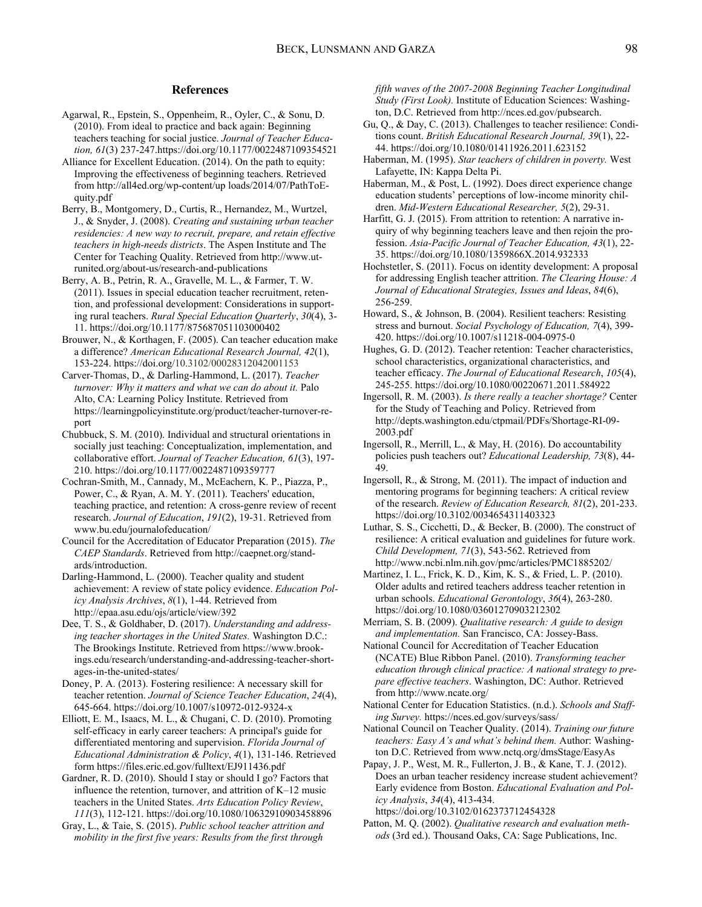#### **References**

- Agarwal, R., Epstein, S., Oppenheim, R., Oyler, C., & Sonu, D. (2010). From ideal to practice and back again: Beginning teachers teaching for social justice. *Journal of Teacher Education, 61*(3) [237-247.https://doi.org/10.1177/0022487109354521](https://237-247.https://doi.org/10.1177/0022487109354521)
- Alliance for Excellent Education. (2014). On the path to equity: Improving the effectiveness of beginning teachers. Retrieved from <http://all4ed.org/wp-content/up>loads/2014/07/PathToEquity.pdf
- Berry, B., Montgomery, D., Curtis, R., Hernandez, M., Wurtzel, J., & Snyder, J. (2008). *Creating and sustaining urban teacher residencies: A new way to recruit, prepare, and retain effective teachers in high-needs districts*. The Aspen Institute and The Center for Teaching Quality. Retrieved from <http://www.ut>[runited.org/about-us/research-and-publications](https://runited.org/about-us/research-and-publications)
- Berry, A. B., Petrin, R. A., Gravelle, M. L., & Farmer, T. W. (2011). Issues in special education teacher recruitment, retention, and professional development: Considerations in supporting rural teachers. *Rural Special Education Quarterly*, *30*(4), 3- 11.<https://doi.org/10.1177/875687051103000402>
- Brouwer, N., & Korthagen, F. (2005). Can teacher education make a difference? *American Educational Research Journal, 42*(1), 153-224.<https://doi.org/10.3102/00028312042001153>
- Carver-Thomas, D., & Darling-Hammond, L. (2017). *Teacher turnover: Why it matters and what we can do about it.* Palo Alto, CA: Learning Policy Institute. Retrieved from <https://learningpolicyinstitute.org/product/teacher-turnover-re>port
- Chubbuck, S. M. (2010). Individual and structural orientations in socially just teaching: Conceptualization, implementation, and collaborative effort. *Journal of Teacher Education, 61*(3), 197- 210.<https://doi.org/10.1177/0022487109359777>
- Cochran-Smith, M., Cannady, M., McEachern, K. P., Piazza, P., Power, C., & Ryan, A. M. Y. (2011). Teachers' education, teaching practice, and retention: A cross-genre review of recent research. *Journal of Education*, *191*(2), 19-31. Retrieved from <www.bu.edu/journalofeducation>/
- Council for the Accreditation of Educator Preparation (2015). *The CAEP Standards*. Retrieved from <http://caepnet.org/stand>ards/introduction.
- Darling-Hammond, L. (2000). Teacher quality and student achievement: A review of state policy evidence. *Education Policy Analysis Archives*, *8*(1), 1-44. Retrieved from <http://epaa.asu.edu/ojs/article/view/392>
- Dee, T. S., & Goldhaber, D. (2017). *Understanding and addressing teacher shortages in the United States.* Washington D.C.: The Brookings Institute. Retrieved from <https://www.brook>[ings.edu/research/understanding-and-addressing-teacher-short](https://ings.edu/research/understanding-and-addressing-teacher-short)ages-in-the-united-states/
- Doney, P. A. (2013). Fostering resilience: A necessary skill for teacher retention. *Journal of Science Teacher Education*, *24*(4), 645-664.<https://doi.org/10.1007/s10972-012-9324-x>
- Elliott, E. M., Isaacs, M. L., & Chugani, C. D. (2010). Promoting self-efficacy in early career teachers: A principal's guide for differentiated mentoring and supervision. *Florida Journal of Educational Administration & Policy*, *4*(1), 131-146. Retrieved form <https://files.eric.ed.gov/fulltext/EJ911436.pdf>
- Gardner, R. D. (2010). Should I stay or should I go? Factors that influence the retention, turnover, and attrition of K–12 music teachers in the United States. *Arts Education Policy Review*, *111*(3), 112-121. <https://doi.org/10.1080/10632910903458896>
- Gray, L., & Taie, S. (2015). *Public school teacher attrition and mobility in the first five years: Results from the first through*

*fifth waves of the 2007-2008 Beginning Teacher Longitudinal Study (First Look).* Institute of Education Sciences: Washington, D.C. Retrieved from [http://nces.ed.gov/pubsearch.](http://nces.ed.gov/pubsearch)

- Gu, Q., & Day, C. (2013). Challenges to teacher resilience: Conditions count. *British Educational Research Journal, 39*(1), 22- 44.<https://doi.org/10.1080/01411926.2011.623152>
- Haberman, M. (1995). *Star teachers of children in poverty.* West Lafayette, IN: Kappa Delta Pi.
- Haberman, M., & Post, L. (1992). Does direct experience change education students' perceptions of low-income minority children. *Mid-Western Educational Researcher, 5*(2), 29-31.
- Harfitt, G. J. (2015). From attrition to retention: A narrative inquiry of why beginning teachers leave and then rejoin the profession. *Asia-Pacific Journal of Teacher Education, 43*(1), 22- 35.<https://doi.org/10.1080/1359866X.2014.932333>
- Hochstetler, S. (2011). Focus on identity development: A proposal for addressing English teacher attrition. *The Clearing House: A Journal of Educational Strategies, Issues and Ideas*, *84*(6), 256-259.
- Howard, S., & Johnson, B. (2004). Resilient teachers: Resisting stress and burnout. *Social Psychology of Education, 7*(4), 399- 420.<https://doi.org/10.1007/s11218-004-0975-0>
- Hughes, G. D. (2012). Teacher retention: Teacher characteristics, school characteristics, organizational characteristics, and teacher efficacy. *The Journal of Educational Research*, *105*(4), 245-255.<https://doi.org/10.1080/00220671.2011.584922>
- Ingersoll, R. M. (2003). *Is there really a teacher shortage?* Center for the Study of Teaching and Policy. Retrieved from [http://depts.washington.edu/ctpmail/PDFs/Shortage-RI-09-](http://depts.washington.edu/ctpmail/PDFs/Shortage-RI-09) 2003.pdf
- Ingersoll, R., Merrill, L., & May, H. (2016). Do accountability policies push teachers out? *Educational Leadership, 73*(8), 44- 49.
- Ingersoll, R., & Strong, M. (2011). The impact of induction and mentoring programs for beginning teachers: A critical review of the research. *Review of Education Research, 81*(2), 201-233. <https://doi.org/10.3102/0034654311403323>
- Luthar, S. S., Cicchetti, D., & Becker, B. (2000). The construct of resilience: A critical evaluation and guidelines for future work. *Child Development, 71*(3), 543-562. Retrieved from [http://www.ncbi.nlm.nih.gov/pmc/articles/PMC1885202/](http://www.ncbi.nlm.nih.gov/pmc/articles/PMC1885202)
- Martinez, I. L., Frick, K. D., Kim, K. S., & Fried, L. P. (2010). Older adults and retired teachers address teacher retention in urban schools. *Educational Gerontology*, *36*(4), 263-280. <https://doi.org/10.1080/03601270903212302>
- Merriam, S. B. (2009). *Qualitative research: A guide to design and implementation.* San Francisco, CA: Jossey-Bass.
- National Council for Accreditation of Teacher Education (NCATE) Blue Ribbon Panel. (2010). *Transforming teacher education through clinical practice: A national strategy to prepare effective teachers*. Washington, DC: Author. Retrieved from [http://www.ncate.org/](http://www.ncate.org)
- National Center for Education Statistics. (n.d.). *Schools and Staffing Survey.* [https://nces.ed.gov/surveys/sass/](https://nces.ed.gov/surveys/sass)
- National Council on Teacher Quality. (2014). *Training our future teachers: Easy A's and what's behind them.* Author: Washington D.C. Retrieved from <www.nctq.org/dmsStage/EasyAs>
- Papay, J. P., West, M. R., Fullerton, J. B., & Kane, T. J. (2012). Does an urban teacher residency increase student achievement? Early evidence from Boston. *Educational Evaluation and Policy Analysis*, *34*(4), 413-434. <https://doi.org/10.3102/0162373712454328>
- Patton, M. Q. (2002). *Qualitative research and evaluation methods* (3rd ed.). Thousand Oaks, CA: Sage Publications, Inc.